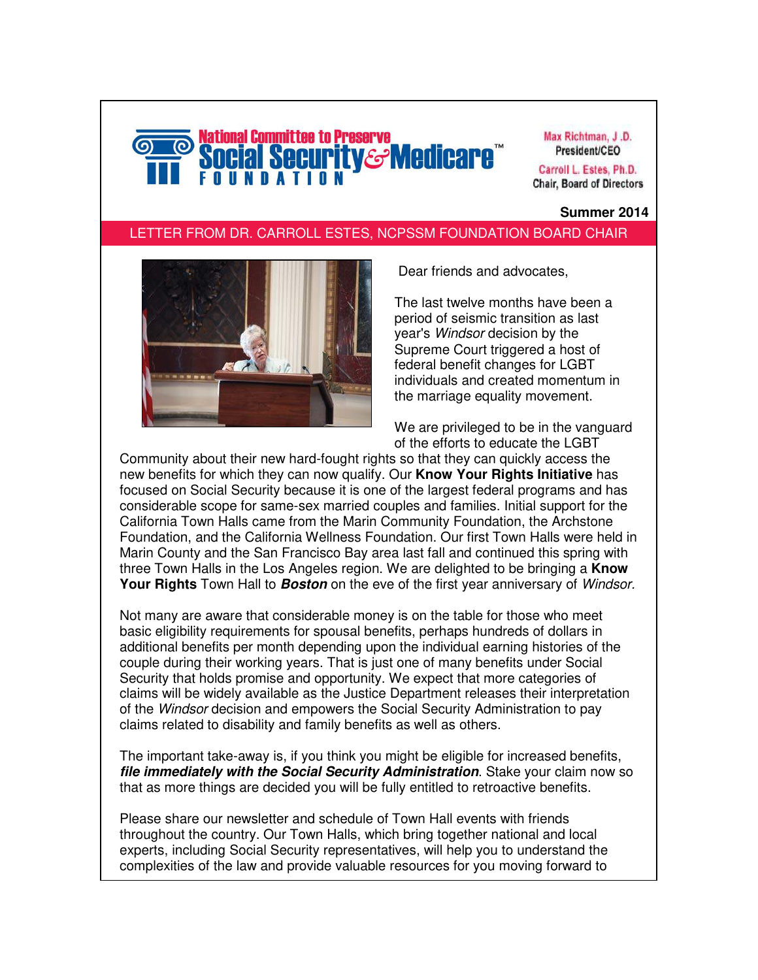# lational Committee to Preserve **curity&Medicare**i

Max Richtman, J.D. President/CEO

Carroll L. Estes, Ph.D. **Chair, Board of Directors** 

#### **Summer 2014**

#### LETTER FROM DR. CARROLL ESTES, NCPSSM FOUNDATION BOARD CHAIR



Dear friends and advocates,

The last twelve months have been a period of seismic transition as last year's Windsor decision by the Supreme Court triggered a host of federal benefit changes for LGBT individuals and created momentum in the marriage equality movement.

We are privileged to be in the vanguard of the efforts to educate the LGBT

Community about their new hard-fought rights so that they can quickly access the new benefits for which they can now qualify. Our **Know Your Rights Initiative** has focused on Social Security because it is one of the largest federal programs and has considerable scope for same-sex married couples and families. Initial support for the California Town Halls came from the Marin Community Foundation, the Archstone Foundation, and the California Wellness Foundation. Our first Town Halls were held in Marin County and the San Francisco Bay area last fall and continued this spring with three Town Halls in the Los Angeles region. We are delighted to be bringing a **Know Your Rights** Town Hall to **Boston** on the eve of the first year anniversary of Windsor.

Not many are aware that considerable money is on the table for those who meet basic eligibility requirements for spousal benefits, perhaps hundreds of dollars in additional benefits per month depending upon the individual earning histories of the couple during their working years. That is just one of many benefits under Social Security that holds promise and opportunity. We expect that more categories of claims will be widely available as the Justice Department releases their interpretation of the Windsor decision and empowers the Social Security Administration to pay claims related to disability and family benefits as well as others.

The important take-away is, if you think you might be eligible for increased benefits, **file immediately with the Social Security Administration**. Stake your claim now so that as more things are decided you will be fully entitled to retroactive benefits.

Please share our newsletter and schedule of Town Hall events with friends throughout the country. Our Town Halls, which bring together national and local experts, including Social Security representatives, will help you to understand the complexities of the law and provide valuable resources for you moving forward to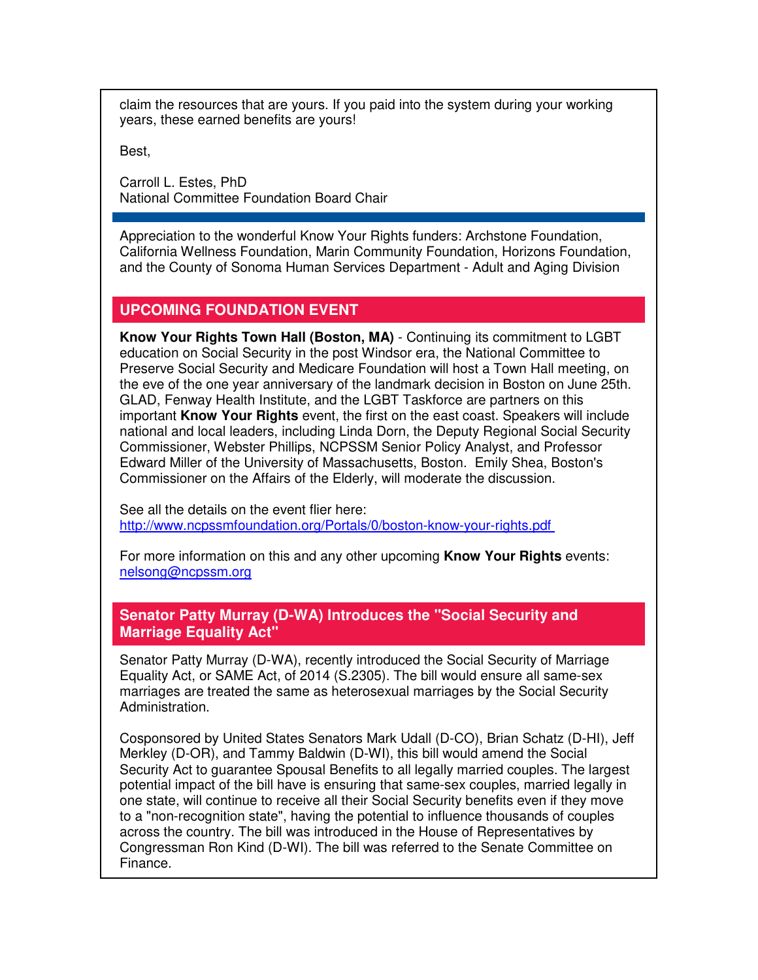claim the resources that are yours. If you paid into the system during your working years, these earned benefits are yours!

Best,

Carroll L. Estes, PhD National Committee Foundation Board Chair

Appreciation to the wonderful Know Your Rights funders: Archstone Foundation, California Wellness Foundation, Marin Community Foundation, Horizons Foundation, and the County of Sonoma Human Services Department - Adult and Aging Division

## **UPCOMING FOUNDATION EVENT**

**Know Your Rights Town Hall (Boston, MA)** - Continuing its commitment to LGBT education on Social Security in the post Windsor era, the National Committee to Preserve Social Security and Medicare Foundation will host a Town Hall meeting, on the eve of the one year anniversary of the landmark decision in Boston on June 25th. GLAD, Fenway Health Institute, and the LGBT Taskforce are partners on this important **Know Your Rights** event, the first on the east coast. Speakers will include national and local leaders, including Linda Dorn, the Deputy Regional Social Security Commissioner, Webster Phillips, NCPSSM Senior Policy Analyst, and Professor Edward Miller of the University of Massachusetts, Boston. Emily Shea, Boston's Commissioner on the Affairs of the Elderly, will moderate the discussion.

See all the details on the event flier here: [http://www.ncpssmfoundation.org/Portals/0/boston-know-your-rights.pdf](http://r20.rs6.net/tn.jsp?e=001MkP_5A59z4-o7Y5nAkbOLXJQl78MVDvyzNYJGh1fImspOcj5aIQGl_xS4A3P4qpRaiVPb3WuThEts3t8ZKnD1M0yW7ePYFUH1BvopIVFYXjxOk_Adj6vuaFnPcHdVYX2dWIsQgtMpM6QcjQhkVQiOCSvMdR54Yy5BlaXH0yF7v0=) 

For more information on this and any other upcoming **Know Your Rights** events: [nelsong@ncpssm.org](mailto:nelsong@ncpssm.org) 

#### **Senator Patty Murray (D-WA) Introduces the "Social Security and Marriage Equality Act"**

Senator Patty Murray (D-WA), recently introduced the Social Security of Marriage Equality Act, or SAME Act, of 2014 (S.2305). The bill would ensure all same-sex marriages are treated the same as heterosexual marriages by the Social Security Administration.

Cosponsored by United States Senators Mark Udall (D-CO), Brian Schatz (D-HI), Jeff Merkley (D-OR), and Tammy Baldwin (D-WI), this bill would amend the Social Security Act to guarantee Spousal Benefits to all legally married couples. The largest potential impact of the bill have is ensuring that same-sex couples, married legally in one state, will continue to receive all their Social Security benefits even if they move to a "non-recognition state", having the potential to influence thousands of couples across the country. The bill was introduced in the House of Representatives by Congressman Ron Kind (D-WI). The bill was referred to the Senate Committee on Finance.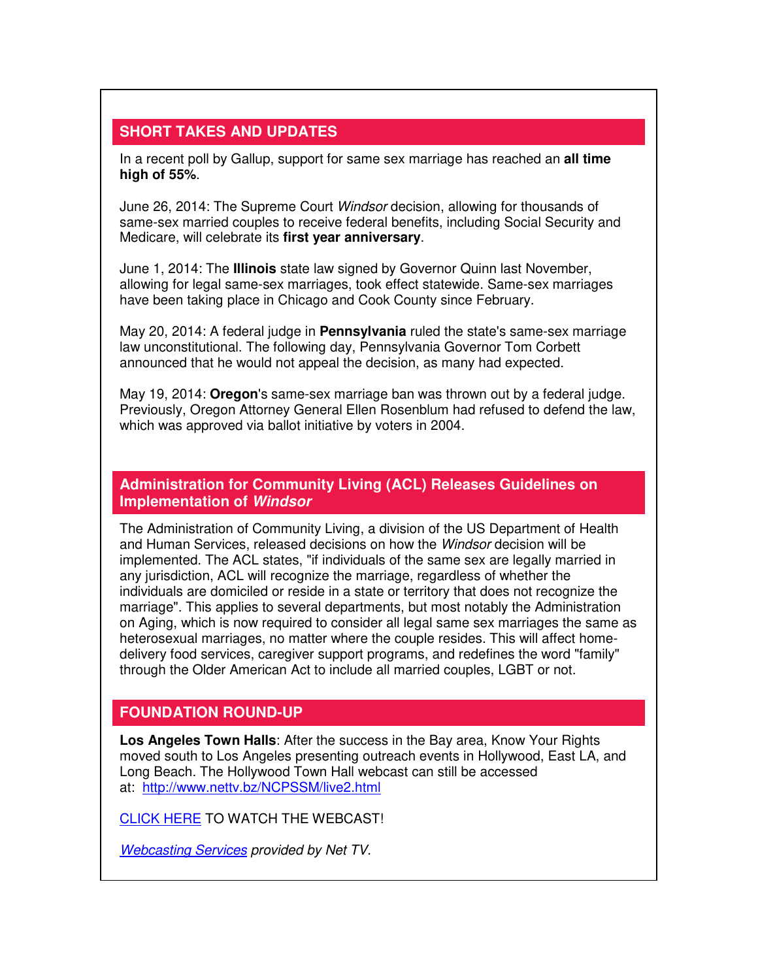### **SHORT TAKES AND UPDATES**

In a recent poll by Gallup, support for same sex marriage has reached an **all time high of 55%**.

June 26, 2014: The Supreme Court Windsor decision, allowing for thousands of same-sex married couples to receive federal benefits, including Social Security and Medicare, will celebrate its **first year anniversary**.

June 1, 2014: The **Illinois** state law signed by Governor Quinn last November, allowing for legal same-sex marriages, took effect statewide. Same-sex marriages have been taking place in Chicago and Cook County since February.

May 20, 2014: A federal judge in **Pennsylvania** ruled the state's same-sex marriage law unconstitutional. The following day, Pennsylvania Governor Tom Corbett announced that he would not appeal the decision, as many had expected.

May 19, 2014: **Oregon**'s same-sex marriage ban was thrown out by a federal judge. Previously, Oregon Attorney General Ellen Rosenblum had refused to defend the law, which was approved via ballot initiative by voters in 2004.

**Administration for Community Living (ACL) Releases Guidelines on Implementation of Windsor**

The Administration of Community Living, a division of the US Department of Health and Human Services, released decisions on how the Windsor decision will be implemented. The ACL states, "if individuals of the same sex are legally married in any jurisdiction, ACL will recognize the marriage, regardless of whether the individuals are domiciled or reside in a state or territory that does not recognize the marriage". This applies to several departments, but most notably the Administration on Aging, which is now required to consider all legal same sex marriages the same as heterosexual marriages, no matter where the couple resides. This will affect homedelivery food services, caregiver support programs, and redefines the word "family" through the Older American Act to include all married couples, LGBT or not.

#### **FOUNDATION ROUND-UP**

**Los Angeles Town Halls**: After the success in the Bay area, Know Your Rights moved south to Los Angeles presenting outreach events in Hollywood, East LA, and Long Beach. The Hollywood Town Hall webcast can still be accessed at: [http://www.nettv.bz/NCPSSM/live2.html](http://r20.rs6.net/tn.jsp?e=001MkP_5A59z4-o7Y5nAkbOLXJQl78MVDvyzNYJGh1fImspOcj5aIQGl_xS4A3P4qpRaiVPb3WuThFNgY-Z4t_Ucu2pJ9zDRwa7-NiukIJAiTZ8HnmoHS17qAIv3T0qIwvm) 

[CLICK HERE](http://r20.rs6.net/tn.jsp?e=001MkP_5A59z4-o7Y5nAkbOLXJQl78MVDvyzNYJGh1fImspOcj5aIQGl_xS4A3P4qpRaiVPb3WuThFNgY-Z4t_Ucu2pJ9zDRwa7-NiukIJAiTZ8HnmoHS17qAIv3T0qIwvm) TO WATCH THE WEBCAST!

**[Webcasting Services](http://r20.rs6.net/tn.jsp?e=001MkP_5A59z4-o7Y5nAkbOLXJQl78MVDvyzNYJGh1fImspOcj5aIQGl_xS4A3P4qpRaiVPb3WuThFNgY-Z4t_Ucu2pJ9zDRwa76nUIcuXJYzU=) provided by Net TV.**